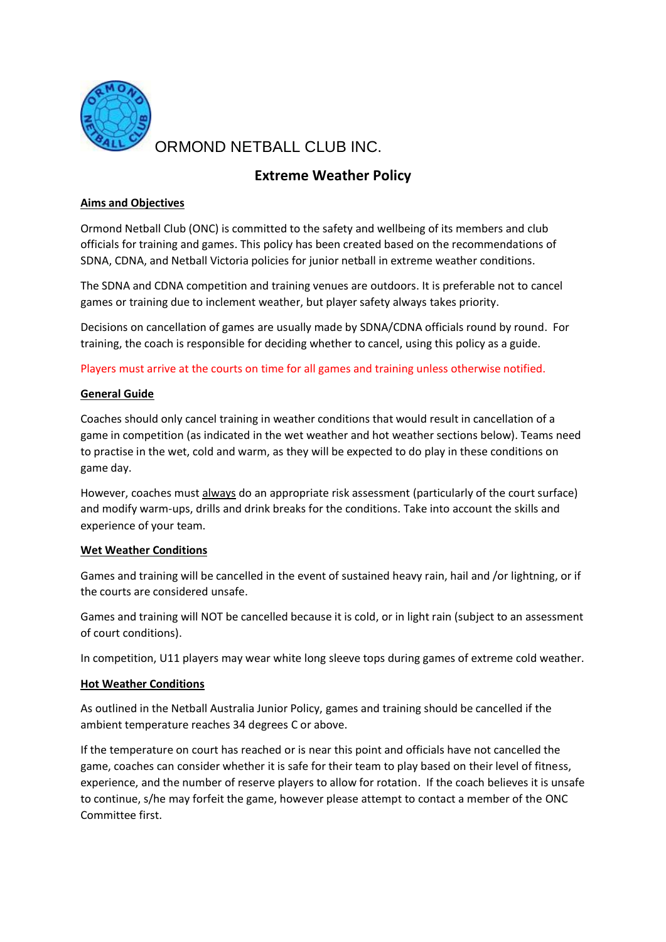

ORMOND NETBALL CLUB INC.

# **Extreme Weather Policy**

## **Aims and Objectives**

Ormond Netball Club (ONC) is committed to the safety and wellbeing of its members and club officials for training and games. This policy has been created based on the recommendations of SDNA, CDNA, and Netball Victoria policies for junior netball in extreme weather conditions.

The SDNA and CDNA competition and training venues are outdoors. It is preferable not to cancel games or training due to inclement weather, but player safety always takes priority.

Decisions on cancellation of games are usually made by SDNA/CDNA officials round by round. For training, the coach is responsible for deciding whether to cancel, using this policy as a guide.

Players must arrive at the courts on time for all games and training unless otherwise notified.

## **General Guide**

Coaches should only cancel training in weather conditions that would result in cancellation of a game in competition (as indicated in the wet weather and hot weather sections below). Teams need to practise in the wet, cold and warm, as they will be expected to do play in these conditions on game day.

However, coaches must always do an appropriate risk assessment (particularly of the court surface) and modify warm-ups, drills and drink breaks for the conditions. Take into account the skills and experience of your team.

## **Wet Weather Conditions**

Games and training will be cancelled in the event of sustained heavy rain, hail and /or lightning, or if the courts are considered unsafe.

Games and training will NOT be cancelled because it is cold, or in light rain (subject to an assessment of court conditions).

In competition, U11 players may wear white long sleeve tops during games of extreme cold weather.

## **Hot Weather Conditions**

As outlined in the Netball Australia Junior Policy, games and training should be cancelled if the ambient temperature reaches 34 degrees C or above.

If the temperature on court has reached or is near this point and officials have not cancelled the game, coaches can consider whether it is safe for their team to play based on their level of fitness, experience, and the number of reserve players to allow for rotation. If the coach believes it is unsafe to continue, s/he may forfeit the game, however please attempt to contact a member of the ONC Committee first.